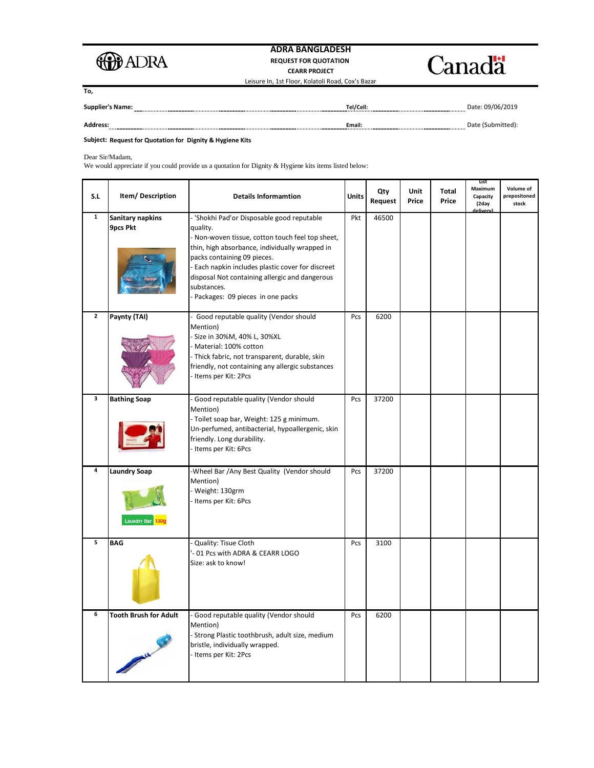

## **ADRA BANGLADESH REQUEST FOR QUOTATION CEARR PROJECT** Leisure In, 1st Floor, Kolatoli Road, Cox's Bazar



**To,**

| <b>Supplier's Name:</b> | Tel/Cell: | Date: 09/06/2019 |
|-------------------------|-----------|------------------|
| <b>Address:</b>         | Email:    |                  |

**Subject: Request for Quotation for Dignity & Hygiene Kits**

Dear Sir/Madam,

We would appreciate if you could provide us a quotation for Dignity & Hygiene kits items listed below:

| S.L            | Item/Description                          | <b>Details Informamtion</b>                                                                                                                                                                                                                                                                                                                           | <b>Units</b> | Qty<br>Request | Unit<br>Price | Total<br>Price | List<br>Maximum<br>Capacity<br>(2day | Volume of<br>prepositoned<br>stock |
|----------------|-------------------------------------------|-------------------------------------------------------------------------------------------------------------------------------------------------------------------------------------------------------------------------------------------------------------------------------------------------------------------------------------------------------|--------------|----------------|---------------|----------------|--------------------------------------|------------------------------------|
| $\mathbf{1}$   | Sanitary napkins<br>9pcs Pkt              | - 'Shokhi Pad'or Disposable good reputable<br>quality.<br>- Non-woven tissue, cotton touch feel top sheet,<br>thin, high absorbance, individually wrapped in<br>packs containing 09 pieces.<br>- Each napkin includes plastic cover for discreet<br>disposal Not containing allergic and dangerous<br>substances.<br>Packages: 09 pieces in one packs | Pkt          | 46500          |               |                |                                      |                                    |
| $\overline{2}$ | Paynty (TAI)                              | Good reputable quality (Vendor should<br>Mention)<br>Size in 30%M, 40% L, 30%XL<br>Material: 100% cotton<br>- Thick fabric, not transparent, durable, skin<br>friendly, not containing any allergic substances<br>Items per Kit: 2Pcs                                                                                                                 | Pcs          | 6200           |               |                |                                      |                                    |
| 3              | <b>Bathing Soap</b>                       | - Good reputable quality (Vendor should<br>Mention)<br>- Toilet soap bar, Weight: 125 g minimum.<br>Un-perfumed, antibacterial, hypoallergenic, skin<br>friendly. Long durability.<br>- Items per Kit: 6Pcs                                                                                                                                           | Pcs          | 37200          |               |                |                                      |                                    |
| 4              | <b>Laundry Soap</b><br><b>Laundry Bar</b> | -Wheel Bar /Any Best Quality (Vendor should<br>Mention)<br>Weight: 130grm<br>- Items per Kit: 6Pcs                                                                                                                                                                                                                                                    | Pcs          | 37200          |               |                |                                      |                                    |
| 5              | <b>BAG</b>                                | Quality: Tisue Cloth<br>- 01 Pcs with ADRA & CEARR LOGO<br>Size: ask to know!                                                                                                                                                                                                                                                                         | Pcs          | 3100           |               |                |                                      |                                    |
| 6              | <b>Tooth Brush for Adult</b>              | Good reputable quality (Vendor should<br>Mention)<br>- Strong Plastic toothbrush, adult size, medium<br>bristle, individually wrapped.<br>- Items per Kit: 2Pcs                                                                                                                                                                                       | Pcs          | 6200           |               |                |                                      |                                    |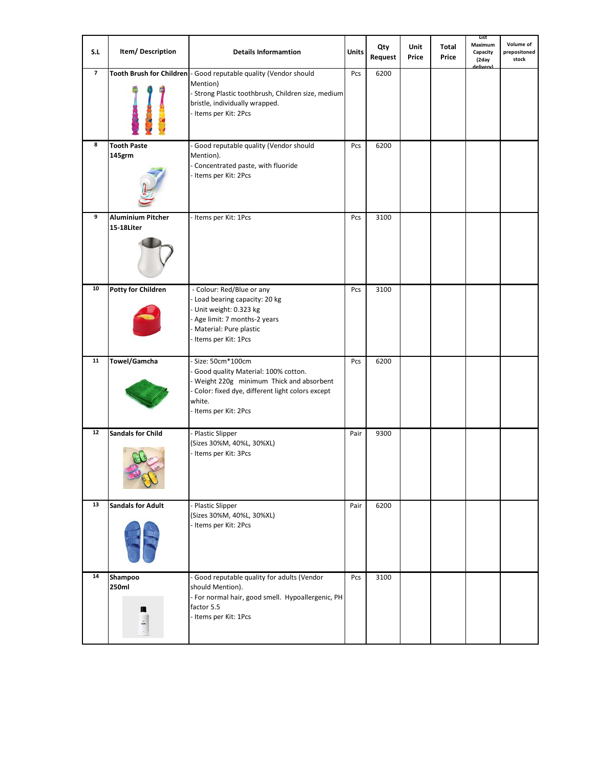| S.L                     | Item/Description                | <b>Details Informamtion</b>                                                                                                                                                                   | <b>Units</b> | Qty<br>Request | Unit<br>Price | Total<br>Price | List<br>Maximum<br>Capacity<br>(2day<br>delivery) | Volume of<br>prepositoned<br>stock |
|-------------------------|---------------------------------|-----------------------------------------------------------------------------------------------------------------------------------------------------------------------------------------------|--------------|----------------|---------------|----------------|---------------------------------------------------|------------------------------------|
| $\overline{\mathbf{z}}$ |                                 | Tooth Brush for Children - Good reputable quality (Vendor should<br>Mention)<br>- Strong Plastic toothbrush, Children size, medium<br>bristle, individually wrapped.<br>- Items per Kit: 2Pcs | Pcs          | 6200           |               |                |                                                   |                                    |
| 8                       | <b>Tooth Paste</b><br>145grm    | - Good reputable quality (Vendor should<br>Mention).<br>Concentrated paste, with fluoride<br>- Items per Kit: 2Pcs                                                                            | Pcs          | 6200           |               |                |                                                   |                                    |
| 9                       | Aluminium Pitcher<br>15-18Liter | - Items per Kit: 1Pcs                                                                                                                                                                         | Pcs          | 3100           |               |                |                                                   |                                    |
| 10                      | <b>Potty for Children</b>       | - Colour: Red/Blue or any<br>- Load bearing capacity: 20 kg<br>- Unit weight: 0.323 kg<br>- Age limit: 7 months-2 years<br>Material: Pure plastic<br>- Items per Kit: 1Pcs                    | Pcs          | 3100           |               |                |                                                   |                                    |
| 11                      | Towel/Gamcha                    | Size: 50cm*100cm<br>Good quality Material: 100% cotton.<br>Weight 220g minimum Thick and absorbent<br>Color: fixed dye, different light colors except<br>white.<br>- Items per Kit: 2Pcs      | Pcs          | 6200           |               |                |                                                   |                                    |
| 12                      | <b>Sandals for Child</b>        | - Plastic Slipper<br>(Sizes 30%M, 40%L, 30%XL)<br>- Items per Kit: 3Pcs                                                                                                                       | Pair         | 9300           |               |                |                                                   |                                    |
| 13                      | <b>Sandals for Adult</b>        | - Plastic Slipper<br>(Sizes 30%M, 40%L, 30%XL)<br>- Items per Kit: 2Pcs                                                                                                                       | Pair         | 6200           |               |                |                                                   |                                    |
| 14                      | Shampoo<br>250ml                | - Good reputable quality for adults (Vendor<br>should Mention).<br>- For normal hair, good smell. Hypoallergenic, PH<br>factor 5.5<br>- Items per Kit: 1Pcs                                   | Pcs          | 3100           |               |                |                                                   |                                    |